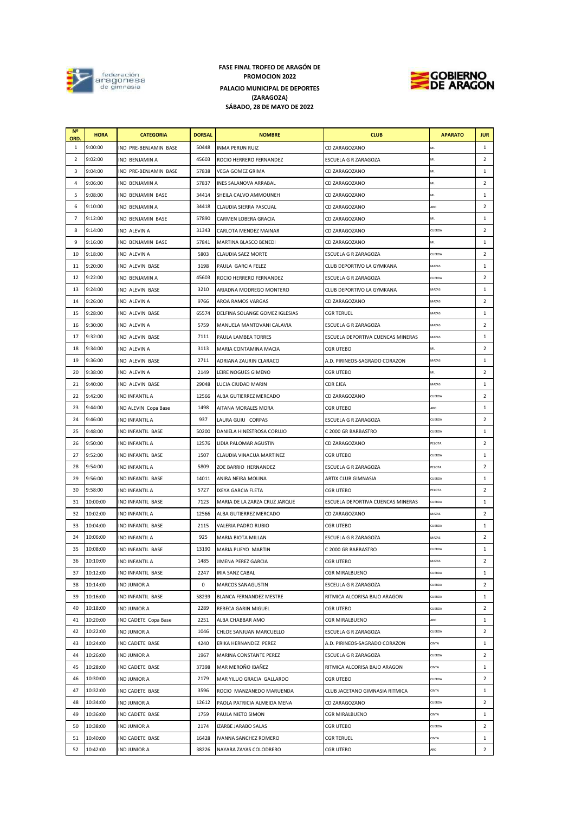

## **PALACIO MUNICIPAL DE DEPORTES (ZARAGOZA) SÁBADO, 28 DE MAYO DE 2022 FASE FINAL TROFEO DE ARAGÓN DE PROMOCION 2022**



| N <sub>2</sub><br>ORD. | <b>HORA</b> | <b>CATEGORIA</b>       | <b>DORSAL</b> | <b>NOMBRE</b>                  | <b>CLUB</b>                       | <b>APARATO</b> | <b>JUR</b>     |
|------------------------|-------------|------------------------|---------------|--------------------------------|-----------------------------------|----------------|----------------|
| 1                      | 9:00:00     | IND PRE-BENJAMIN BASE  | 50448         | <b>INMA PERUN RUIZ</b>         | CD ZARAGOZANO                     | ML             | $\mathbf{1}$   |
| 2                      | 9:02:00     | <b>IND BENJAMIN A</b>  | 45603         | ROCIO HERRERO FERNANDEZ        | ESCUELA G R ZARAGOZA              | ML             | $\overline{2}$ |
| 3                      | 9:04:00     | IND PRE-BENJAMIN BASE  | 57838         | VEGA GOMEZ GRIMA               | CD ZARAGOZANO                     | ML             | $\mathbf{1}$   |
| 4                      | 9:06:00     | IND BENJAMIN A         | 57837         | <b>INES SALANOVA ARRABAL</b>   | CD ZARAGOZANO                     | ML             | $\overline{2}$ |
| 5                      | 9:08:00     | IND BENJAMIN BASE      | 34414         | SHEILA CALVO AMMOUNEH          | CD ZARAGOZANO                     | ML             | 1              |
| 6                      | 9:10:00     | IND BENJAMIN A         | 34418         | CLAUDIA SIERRA PASCUAL         | CD ZARAGOZANO                     | ARO            | $\overline{2}$ |
| 7                      | 9:12:00     | IND BENJAMIN BASE      | 57890         | CARMEN LOBERA GRACIA           | CD ZARAGOZANO                     | ML             | 1              |
| 8                      | 9:14:00     | IND ALEVIN A           | 31343         | <b>CARLOTA MENDEZ MAINAR</b>   | <b>CD ZARAGOZANO</b>              | CUERDA         | 2              |
| 9                      | 9:16:00     | IND BENJAMIN BASE      | 57841         | MARTINA BLASCO BENEDI          | <b>CD ZARAGOZANO</b>              | ML             | 1              |
| 10                     | 9:18:00     | IND ALEVIN A           | 5803          | <b>CLAUDIA SAEZ MORTE</b>      | ESCUELA G R ZARAGOZA              | CUERDA         | $\overline{2}$ |
| 11                     | 9:20:00     | IND ALEVIN BASE        | 3198          | PAULA GARCIA FELEZ             | CLUB DEPORTIVO LA GYMKANA         | MAZAS          | 1              |
| 12                     | 9:22:00     | IND BENJAMIN A         | 45603         | ROCIO HERRERO FERNANDEZ        | ESCUELA G R ZARAGOZA              | CUERDA         | $\overline{2}$ |
| 13                     | 9:24:00     | IND ALEVIN BASE        | 3210          | ARIADNA MODREGO MONTERO        | CLUB DEPORTIVO LA GYMKANA         | MAZAS          | 1              |
| 14                     | 9:26:00     | IND ALEVIN A           | 9766          | AROA RAMOS VARGAS              | CD ZARAGOZANO                     | MAZAS          | 2              |
| 15                     | 9:28:00     | <b>IND ALEVIN BASE</b> | 65574         | DELFINA SOLANGE GOMEZ IGLESIAS | <b>CGR TERUEL</b>                 | MAZAS          | 1              |
| 16                     | 9:30:00     | IND ALEVIN A           | 5759          | MANUELA MANTOVANI CALAVIA      | ESCUELA G R ZARAGOZA              | MAZAS          | $\overline{2}$ |
| 17                     | 9:32:00     | IND ALEVIN BASE        | 7111          | PAULA LAMBEA TORRES            | ESCUELA DEPORTIVA CUENCAS MINERAS | MAZAS          | 1              |
| 18                     | 9:34:00     | IND ALEVIN A           | 3113          | MARIA CONTAMINA MACIA          | <b>CGR UTEBO</b>                  | ML             | $\overline{2}$ |
| 19                     | 9:36:00     | IND ALEVIN BASE        | 2711          | ADRIANA ZAURIN CLARACO         | A.D. PIRINEOS-SAGRADO CORAZON     | MAZAS          | 1              |
| 20                     | 9:38:00     | <b>IND ALEVIN A</b>    | 2149          | LEIRE NOGUES GIMENO            | <b>CGR UTEBO</b>                  | ML             | $\overline{2}$ |
| 21                     | 9:40:00     | IND ALEVIN BASE        | 29048         | LUCIA CIUDAD MARIN             | <b>CDR EJEA</b>                   | MAZAS          | $\mathbf{1}$   |
| 22                     | 9:42:00     | IND INFANTIL A         | 12566         | ALBA GUTIERREZ MERCADO         | CD ZARAGOZANO                     | CUERDA         | $\overline{2}$ |
| 23                     | 9:44:00     | IND ALEVIN Copa Base   | 1498          | AITANA MORALES MORA            | <b>CGR UTEBO</b>                  | ARO            | $\mathbf{1}$   |
| 24                     | 9:46:00     | IND INFANTIL A         | 937           | LAURA GUIU CORPAS              | ESCUELA G R ZARAGOZA              | CUERDA         | $\overline{2}$ |
| 25                     | 9:48:00     | IND INFANTIL BASE      | 50200         | DANIELA HINESTROSA CORUJO      | C 2000 GR BARBASTRO               | CUERDA         | $\mathbf{1}$   |
| 26                     | 9:50:00     | IND INFANTIL A         | 12576         | LIDIA PALOMAR AGUSTIN          | CD ZARAGOZANO                     | PELOTA         | $\overline{2}$ |
| 27                     | 9:52:00     | IND INFANTIL BASE      | 1507          | CLAUDIA VINACUA MARTINEZ       | <b>CGR UTEBO</b>                  | CUERDA         | $\mathbf{1}$   |
| 28                     | 9:54:00     | IND INFANTIL A         | 5809          | ZOE BARRIO HERNANDEZ           | ESCUELA G R ZARAGOZA              | PELOTA         | $\overline{2}$ |
| 29                     | 9:56:00     | IND INFANTIL BASE      | 14011         | ANIRA NEIRA MOLINA             | ARTIX CLUB GIMNASIA               | CUERDA         | 1              |
| 30                     | 9:58:00     | IND INFANTIL A         | 5727          | IXEYA GARCIA FLETA             | <b>CGR UTEBO</b>                  | PELOTA         | $\overline{2}$ |
| 31                     | 10:00:00    | IND INFANTIL BASE      | 7123          | MARIA DE LA ZARZA CRUZ JARQUE  | ESCUELA DEPORTIVA CUENCAS MINERAS | CUERDA         | 1              |
| 32                     | 10:02:00    | IND INFANTIL A         | 12566         | ALBA GUTIERREZ MERCADO         | CD ZARAGOZANO                     | MAZAS          | $\overline{2}$ |
| 33                     | 10:04:00    | IND INFANTIL BASE      | 2115          | VALERIA PADRO RUBIO            | <b>CGR UTEBO</b>                  | CUERDA         | 1              |
| 34                     | 10:06:00    | IND INFANTIL A         | 925           | <b>MARIA BIOTA MILLAN</b>      | <b>ESCUELA G R ZARAGOZA</b>       | MAZAS          | 2              |
| 35                     | 10:08:00    | IND INFANTIL BASE      | 13190         | MARIA PUEYO MARTIN             | C 2000 GR BARBASTRO               | CUERDA         | 1              |
| 36                     | 10:10:00    | IND INFANTIL A         | 1485          | JIMENA PEREZ GARCIA            | <b>CGR UTEBO</b>                  | MAZAS          | 2              |
| 37                     | 10:12:00    | IND INFANTIL BASE      | 2247          | <b>IRIA SANZ CABAL</b>         | <b>CGR MIRALBUENO</b>             | CUERDA         | 1              |
| 38                     | 10:14:00    | <b>IND JUNIOR A</b>    | 0             | MARCOS SANAGUSTIN              | ESCEULA G R ZARAGOZA              | CUERDA         | $\overline{2}$ |
| 39                     | 10:16:00    | IND INFANTIL BASE      | 58239         | BLANCA FERNANDEZ MESTRE        | RITMICA ALCORISA BAJO ARAGON      | CUERDA         | 1              |
| 40                     | 10:18:00    | <b>IND JUNIOR A</b>    | 2289          | REBECA GARIN MIGUEL            | <b>CGR UTEBO</b>                  | CUERDA         | $\overline{2}$ |
| 41                     | 10:20:00    | IND CADETE Copa Base   | 2251          | ALBA CHABBAR AMO               | CGR MIRALBUENO                    | ARO            | 1              |
| 42                     | 10:22:00    | <b>IND JUNIOR A</b>    | 1046          | CHLOE SANJUAN MARCUELLO        | ESCUELA G R ZARAGOZA              | CUERDA         | $\overline{2}$ |
| 43                     | 10:24:00    | IND CADETE BASE        | 4240          | ERIKA HERNANDEZ PEREZ          | A.D. PIRINEOS-SAGRADO CORAZON     | CINTA          | $\mathbf{1}$   |
| 44                     | 10:26:00    | <b>IND JUNIOR A</b>    | 1967          | MARINA CONSTANTE PEREZ         | ESCUELA G R ZARAGOZA              | CUERDA         | 2              |
| 45                     | 10:28:00    | IND CADETE BASE        | 37398         | MAR MEROÑO IBAÑEZ              | RITMICA ALCORISA BAJO ARAGON      | CINTA          | $\mathbf{1}$   |
| 46                     | 10:30:00    | <b>IND JUNIOR A</b>    | 2179          | MAR YILUO GRACIA GALLARDO      | <b>CGR UTEBO</b>                  | CUERDA         | $\overline{2}$ |
| 47                     | 10:32:00    | IND CADETE BASE        | 3596          | ROCIO MANZANEDO MARUENDA       | CLUB JACETANO GIMNASIA RITMICA    | CINTA          | 1              |
| 48                     | 10:34:00    | <b>IND JUNIOR A</b>    | 12612         | PAOLA PATRICIA ALMEIDA MENA    | CD ZARAGOZANO                     | CUERDA         | $\overline{2}$ |
| 49                     | 10:36:00    | IND CADETE BASE        | 1759          | PAULA NIETO SIMON              | <b>CGR MIRALBUENO</b>             | CINTA          | 1              |
| 50                     | 10:38:00    | <b>IND JUNIOR A</b>    | 2174          | <b>IZARBE JARABO SALAS</b>     | <b>CGR UTEBO</b>                  | CUERDA         | $\overline{2}$ |
| 51                     | 10:40:00    | IND CADETE BASE        | 16428         | <b>IVANNA SANCHEZ ROMERO</b>   | <b>CGR TERUEL</b>                 | CINTA          | $\mathbf{1}$   |
| 52                     | 10:42:00    | <b>IND JUNIOR A</b>    | 38226         | NAYARA ZAYAS COLODRERO         | <b>CGR UTEBO</b>                  | ARO            | $\overline{2}$ |
|                        |             |                        |               |                                |                                   |                |                |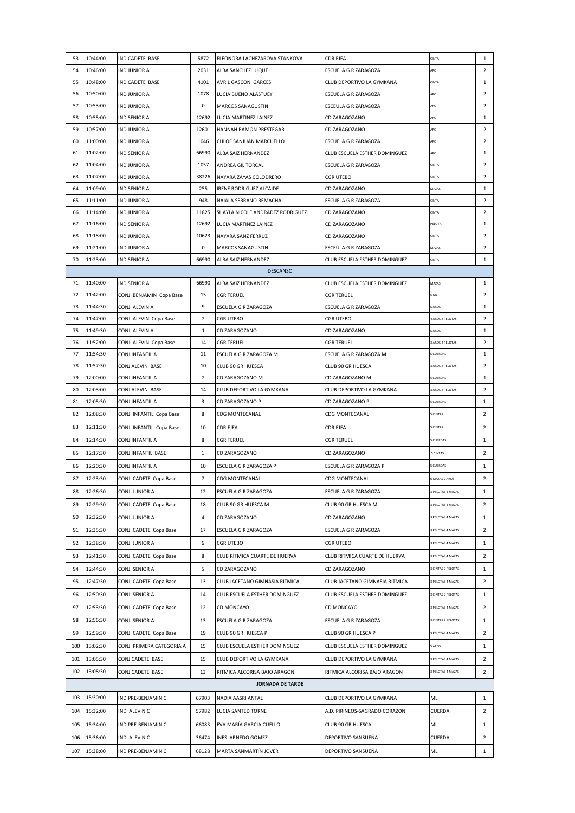| 53       | 10:44:00             | IND CADETE BASE                     | 5872           | ELEONORA LACHEZAROVA STANKOVA               | CDR EJEA                                    | CINTA                         | 1                   |
|----------|----------------------|-------------------------------------|----------------|---------------------------------------------|---------------------------------------------|-------------------------------|---------------------|
| 54       | 10:46:00             | IND JUNIOR A                        | 2031           | ALBA SANCHEZ LUQUE                          | ESCUELA G R ZARAGOZA                        | ARO                           | $\overline{2}$      |
| 55       | 10:48:00             | <b>IND CADETE BASE</b>              | 4101           | AVRIL GASCON GARCES                         | CLUB DEPORTIVO LA GYMKANA                   | CINTA                         | $\mathbf{1}$        |
| 56       | 10:50:00             | IND JUNIOR A                        | 1078           | LUCIA BUENO ALASTUEY                        | ESCUELA G R ZARAGOZA                        | ARO                           | $\overline{2}$      |
| 57       | 10:53:00             | IND JUNIOR A                        | 0              | <b>MARCOS SANAGUSTIN</b>                    | ESCEULA G R ZARAGOZA                        | ARO                           | $\overline{2}$      |
| 58       | 10:55:00             | IND SENIOR A                        | 12692          | LUCIA MARTINEZ LAINEZ                       | CD ZARAGOZANO                               | ARO                           | $\mathbf{1}$        |
| 59       | 10:57:00             | IND JUNIOR A                        | 12601          | HANNAH RAMON PRESTEGAR                      | CD ZARAGOZANO                               | ARO                           | $\overline{2}$      |
| 60       | 11:00:00             | IND JUNIOR A                        | 1046           | CHLOE SANJUAN MARCUELLO                     | ESCUELA G R ZARAGOZA                        | ARO                           | $\overline{2}$      |
| 61       | 11:02:00             | IND SENIOR A                        | 66990          | ALBA SAIZ HERNANDEZ                         | CLUB ESCUELA ESTHER DOMINGUEZ               | ARO                           | $\mathbf{1}$        |
| 62       | 11:04:00             | <b>IND JUNIOR A</b>                 | 1057           | ANDREA GIL TORCAL                           | ESCUELA G R ZARAGOZA                        | CINTA                         | $\overline{2}$      |
| 63       | 11:07:00             | <b>IND JUNIOR A</b>                 | 38226          | NAYARA ZAYAS COLODRERO                      | <b>CGR UTEBO</b>                            | CINTA                         | $\overline{2}$      |
| 64       | 11:09:00             | <b>IND SENIOR A</b>                 | 255            | IRENE RODRIGUEZ ALCAIDE                     | CD ZARAGOZANO                               | MAZAS                         | $\mathbf{1}$        |
| 65       | 11:11:00             | <b>IND JUNIOR A</b>                 | 948            | NAIALA SERRANO REMACHA                      | ESCUELA G R ZARAGOZA                        | CINTA                         | $\overline{2}$      |
| 66       | 11:14:00             | <b>IND JUNIOR A</b>                 | 11825          | SHAYLA NICOLE ANDRADEZ RODRIGUEZ            | CD ZARAGOZANO                               | CINTA                         | $\overline{2}$      |
| 67       | 11:16:00             | <b>IND SENIOR A</b>                 | 12692          | LUCIA MARTINEZ LAINEZ                       | CD ZARAGOZANO                               | PELOTA                        | $\mathbf{1}$        |
| 68       | 11:18:00             | IND JUNIOR A                        | 10623          | NAYARA SANZ FERRUZ                          | CD ZARAGOZANO                               | <b>CINTA</b>                  | $\overline{2}$      |
| 69       | 11:21:00             | IND JUNIOR A                        | 0              | <b>MARCOS SANAGUSTIN</b>                    | ESCEULA G R ZARAGOZA                        | MAZAS                         | $\overline{2}$      |
| 70       | 11:23:00             | IND SENIOR A                        | 66990          | ALBA SAIZ HERNANDEZ                         | CLUB ESCUELA ESTHER DOMINGUEZ               | CINTA                         | $\mathbf{1}$        |
|          |                      |                                     |                | <b>DESCANSO</b>                             |                                             |                               |                     |
| 71       | 11:40:00             | IND SENIOR A                        | 66990          | ALBA SAIZ HERNANDEZ                         | CLUB ESCUELA ESTHER DOMINGUEZ               | MAZAS                         | $\mathbf{1}$        |
| 72       | 11:42:00             | CONJ BENJAMIN Copa Base             | 15             | CGR TERUEL                                  | CGR TERUEL                                  | ML                            | $\overline{2}$      |
| 73       | 11:44:30             | CONJ ALEVIN A                       | 9              | ESCUELA G R ZARAGOZA                        | ESCUELA G R ZARAGOZA                        | AROS                          | $\mathbf{1}$        |
| 74       | 11:47:00             | CONJ ALEVIN Copa Base               | 2              | <b>CGR UTEBO</b>                            | CGR UTEBO                                   | 4 AROS 2 PELOTAS              | $\overline{2}$      |
| 75       | 11:49:30             | CONJ ALEVIN A                       | 1              | CD ZARAGOZANO                               | CD ZARAGOZANO                               | <b>SAROS</b>                  | $\mathbf{1}$        |
| 76       | 11:52:00             | CONJ ALEVIN Copa Base               | 14             | <b>CGR TERUEL</b>                           | CGR TERUEL                                  | 3 AROS 2 PELOTAS<br>5 CUERDAS | $\overline{2}$<br>1 |
| 77<br>78 | 11:54:30<br>11:57:30 | CONJ INFANTIL A<br>CONJ ALEVIN BASE | 11<br>10       | ESCUELA G R ZARAGOZA M<br>CLUB 90 GR HUESCA | ESCUELA G R ZARAGOZA M<br>CLUB 90 GR HUESCA | <b>BAROS 2 PELOTAS</b>        | $\overline{2}$      |
| 79       | 12:00:00             | CONJ INFANTIL A                     | 2              | CD ZARAGOZANO M                             | CD ZARAGOZANO M                             | <b>S CUERDAS</b>              | $\mathbf{1}$        |
| 80       | 12:03:00             | CONJ ALEVIN BASE                    | 14             | CLUB DEPORTIVO LA GYMKANA                   | CLUB DEPORTIVO LA GYMKANA                   | 3 AROS 2 PELOTAS              | $\overline{2}$      |
| 81       | 12:05:30             | CONJ INFANTIL A                     | 3              | CD ZARAGOZANO P                             | CD ZARAGOZANO P                             | 5 CUERDAS                     | $\mathbf{1}$        |
| 82       | 12:08:30             | CONJ INFANTIL Copa Base             | 8              | <b>CDG MONTECANAL</b>                       | CDG MONTECANAL                              | <b>S CINTAS</b>               | $\overline{2}$      |
| 83       | 12:11:30             |                                     |                | <b>CDR EJEA</b>                             |                                             | 5 CINTAS                      | $\overline{2}$      |
|          |                      | CONJ INFANTIL Copa Base             | 10             |                                             | CDR EJEA                                    |                               |                     |
| 84       | 12:14:30             | CONJ INFANTIL A                     | 8              | <b>CGR TERUEL</b>                           | <b>CGR TERUEL</b>                           | <b>CUERDAS</b>                | $\mathbf{1}$        |
| 85       | 12:17:30             | CONJ INFANTIL BASE                  | $\mathbf{1}$   | CD ZARAGOZANO                               | CD ZARAGOZANO                               | 5 CINTAS                      | $\overline{2}$      |
| 86       | 12:20:30             | CONJ INFANTIL A                     | 10             | ESCUELA G R ZARAGOZA P                      | ESCUELA G R ZARAGOZA P                      | <b>5 CUERDAS</b>              | $\mathbf{1}$        |
| 87       | 12:23:30             | CONJ CADETE Copa Base               | $\overline{7}$ | <b>CDG MONTECANAL</b>                       | <b>CDG MONTECANAL</b>                       | 6 MAZAS 2 AROS                | $\overline{2}$      |
| 88       | 12:26:30             | CONJ JUNIOR A                       | 12             | ESCUELA G R ZARAGOZA                        | ESCUELA G R ZARAGOZA                        | 3 PELOTAS 4 MAZAS             | $\mathbf{1}$        |
| 89       | 12:29:30             | CONJ CADETE Copa Base               | 18             | CLUB 90 GR HUESCA M                         | CLUB 90 GR HUESCA M                         | 3 PELOTAS 4 MAZAS             | $\overline{2}$      |
| 90       | 12:32:30             | CONJ JUNIOR A                       | 4              | CD ZARAGOZANO                               | CD ZARAGOZANO                               | 3 PELOTAS 4 MAZAS             | $\mathbf{1}$        |
| 91       | 12:35:30             | CONJ CADETE Copa Base               | 17             | ESCUELA G R ZARAGOZA                        | ESCUELA G R ZARAGOZA                        | 3 PELOTAS 4 MAZAS             | $\mathbf{2}$        |
| 92       | 12:38:30             | CONJ JUNIOR A                       | 6              | <b>CGR UTEBO</b>                            | <b>CGR UTEBO</b>                            | 3 PELOTAS 4 MAZAS             | $\mathbf{1}$        |
| 93       | 12:41:30             | CONJ CADETE Copa Base               | 8              | CLUB RITMICA CUARTE DE HUERVA               | CLUB RITMICA CUARTE DE HUERVA               | 3 PELOTAS 4 MAZAS             | $\overline{2}$      |
| 94       | 12:44:30             | CONJ SENIOR A                       | 5              | CD ZARAGOZANO                               | CD ZARAGOZANO                               | 3 CINTAS 2 PELOTAS            | $\mathbf{1}$        |
| 95       | 12:47:30             | CONJ CADETE Copa Base               | 13             | CLUB JACETANO GIMNASIA RITMICA              | CLUB JACETANO GIMNASIA RITMICA              | 3 PELOTAS 4 MAZAS             | $\overline{2}$      |
| 96       | 12:50:30             | CONJ SENIOR A                       | 14             | CLUB ESCUELA ESTHER DOMINGUEZ               | CLUB ESCUELA ESTHER DOMINGUEZ               | 3 CINTAS 2 PELOTAS            | $\mathbf{1}$        |
| 97       | 12:53:30             | CONJ CADETE Copa Base               | 12             | CD MONCAYO                                  | CD MONCAYO                                  | 3 PELOTAS 4 MAZAS             | $\overline{2}$      |
| 98       | 12:56:30             | CONJ SENIOR A                       | 13             | ESCUELA G R ZARAGOZA                        | ESCUELA G R ZARAGOZA                        | 3 CINTAS 2 PELOTAS            | $\mathbf{1}$        |
| 99       | 12:59:30             | CONJ CADETE Copa Base               | 19             | CLUB 90 GR HUESCA P                         | CLUB 90 GR HUESCA P                         | 3 PELOTAS 4 MAZAS             | $\overline{2}$      |
|          |                      |                                     |                |                                             |                                             |                               |                     |
| 100      | 13:02:30             | CONJ PRIMERA CATEGORIA A            | 15             | CLUB ESCUELA ESTHER DOMINGUEZ               | CLUB ESCUELA ESTHER DOMINGUEZ               | <b>SAROS</b>                  | $\mathbf{1}$        |
| 101      | 13:05:30             | CONJ CADETE BASE                    | 15             | CLUB DEPORTIVO LA GYMKANA                   | CLUB DEPORTIVO LA GYMKANA                   | 3 PELOTAS 4 MAZAS             | $\overline{2}$      |
| 102      | 13:08:30             | CONJ CADETE BASE                    | 13             | RITMICA ALCORISA BAJO ARAGON                | RITMICA ALCORISA BAJO ARAGON                | <b>B PELOTAS 4 MAZAS</b>      | $\overline{2}$      |
|          |                      |                                     |                | <b>JORNADA DE TARDE</b>                     |                                             |                               |                     |
| 103      | 15:30:00             | IND PRE-BENJAMIN C                  | 67903          | NADIA AASRI ANTAL                           | CLUB DEPORTIVO LA GYMKANA                   | ML                            | $\mathbf{1}$        |
| 104      | 15:32:00             | IND ALEVIN C                        | 57982          | LUCIA SANTED TORNE                          | A.D. PIRINEOS-SAGRADO CORAZON               | CUERDA                        | $\overline{2}$      |
| 105      | 15:34:00             | IND PRE-BENJAMIN C                  | 66083          | EVA MARÍA GARCIA CUELLO                     | CLUB 90 GR HUESCA                           | ML                            | $\mathbf{1}$        |
| 106      | 15:36:00             | IND ALEVIN C                        | 36474          | INES ARNEDO GOMEZ                           | DEPORTIVO SANSUEÑA                          | CUERDA                        | $\overline{2}$      |
| 107      | 15:38:00             | IND PRE-BENJAMIN C                  | 68128          | MARTA SANMARTIN JOVER                       | DEPORTIVO SANSUEÑA                          | ML                            | $\mathbf{1}$        |
|          |                      |                                     |                |                                             |                                             |                               |                     |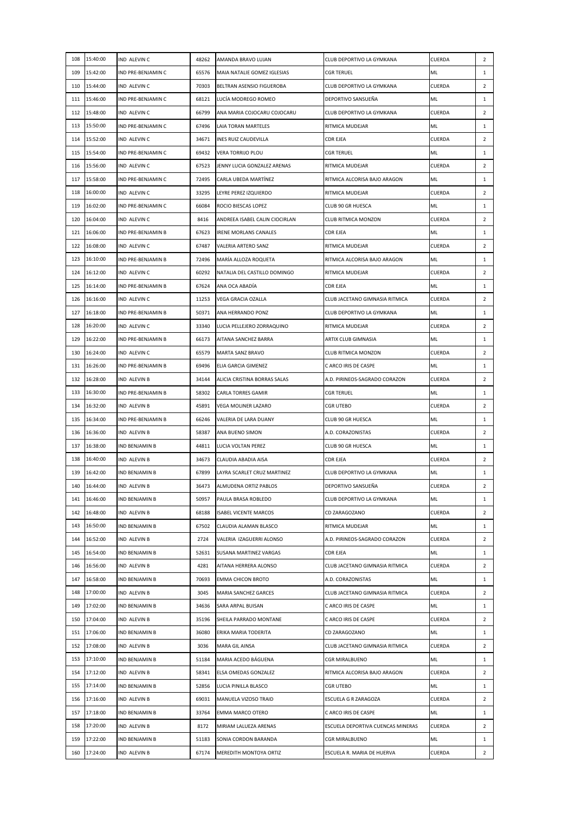|     | 108 15:40:00 | IND ALEVIN C          | 48262 | AMANDA BRAVO LUJAN             | CLUB DEPORTIVO LA GYMKANA         | CUERDA        | $\overline{2}$ |
|-----|--------------|-----------------------|-------|--------------------------------|-----------------------------------|---------------|----------------|
| 109 | 15:42:00     | IND PRE-BENJAMIN C    | 65576 | MAIA NATALIE GOMEZ IGLESIAS    | <b>CGR TERUEL</b>                 | ML            | $\mathbf{1}$   |
|     | 110 15:44:00 | IND ALEVIN C          | 70303 | BELTRAN ASENSIO FIGUEROBA      | CLUB DEPORTIVO LA GYMKANA         | <b>CUERDA</b> | $\overline{2}$ |
| 111 | 15:46:00     | IND PRE-BENJAMIN C    | 68121 | LUCÍA MODREGO ROMEO            | DEPORTIVO SANSUEÑA                | ML            | $\mathbf{1}$   |
|     | 112 15:48:00 | IND ALEVIN C          | 66799 | ANA MARIA COJOCARU COJOCARU    | CLUB DEPORTIVO LA GYMKANA         | CUERDA        | $\overline{2}$ |
|     | 113 15:50:00 | IND PRE-BENJAMIN C    | 67496 | LAIA TORAN MARTELES            | RITMICA MUDEJAR                   | ML            | $\mathbf{1}$   |
|     | 114 15:52:00 | IND ALEVIN C          | 34671 | INES RUIZ CAUDEVILLA           | <b>CDR EJEA</b>                   | CUERDA        | $\overline{2}$ |
|     | 115 15:54:00 | IND PRE-BENJAMIN C    | 69432 | <b>VERA TORRIJO PLOU</b>       | <b>CGR TERUEL</b>                 | ML            | $\mathbf{1}$   |
|     | 116 15:56:00 | IND ALEVIN C          | 67523 | JENNY LUCIA GONZALEZ ARENAS    | RITMICA MUDEJAR                   | CUERDA        | $\overline{2}$ |
|     | 117 15:58:00 | IND PRE-BENJAMIN C    | 72495 | CARLA UBEDA MARTINEZ           | RITMICA ALCORISA BAJO ARAGON      | ML            | $\mathbf{1}$   |
|     | 118 16:00:00 | IND ALEVIN C          | 33295 | LEYRE PEREZ IZQUIERDO          | RITMICA MUDEJAR                   | CUERDA        | $\overline{2}$ |
| 119 | 16:02:00     | IND PRE-BENJAMIN C    | 66084 | ROCIO BIESCAS LOPEZ            | CLUB 90 GR HUESCA                 | ML            | $\mathbf{1}$   |
|     | 120 16:04:00 | IND ALEVIN C          | 8416  | ANDREEA ISABEL CALIN CIOCIRLAN | CLUB RITMICA MONZON               | CUERDA        | $\overline{2}$ |
|     | 121 16:06:00 | IND PRE-BENJAMIN B    | 67623 | <b>IRENE MORLANS CANALES</b>   | CDR EJEA                          | ML            | $\mathbf{1}$   |
|     | 122 16:08:00 | IND ALEVIN C          | 67487 | VALERIA ARTERO SANZ            | RITMICA MUDEJAR                   | CUERDA        | $\overline{2}$ |
|     | 123 16:10:00 | IND PRE-BENJAMIN B    | 72496 | MARÍA ALLOZA ROQUETA           | RITMICA ALCORISA BAJO ARAGON      | ML            | $\mathbf{1}$   |
|     | 124 16:12:00 | IND ALEVIN C          | 60292 | NATALIA DEL CASTILLO DOMINGO   | RITMICA MUDEJAR                   | CUERDA        | $\overline{2}$ |
|     | 125 16:14:00 | IND PRE-BENJAMIN B    | 67624 | ANA OCA ABADÍA                 | <b>CDR EJEA</b>                   | ML            | $\mathbf{1}$   |
| 126 | 16:16:00     | IND ALEVIN C          | 11253 | VEGA GRACIA OZALLA             | CLUB JACETANO GIMNASIA RITMICA    | CUERDA        | $\overline{2}$ |
| 127 | 16:18:00     | IND PRE-BENJAMIN B    | 50371 | ANA HERRANDO PONZ              | CLUB DEPORTIVO LA GYMKANA         | ML            | $\mathbf{1}$   |
|     | 128 16:20:00 | IND ALEVIN C          | 33340 | LUCIA PELLEJERO ZORRAQUINO     | RITMICA MUDEJAR                   | <b>CUERDA</b> | $\overline{2}$ |
|     | 129 16:22:00 | IND PRE-BENJAMIN B    | 66173 | AITANA SANCHEZ BARRA           | ARTIX CLUB GIMNASIA               | ML            | $\mathbf{1}$   |
|     | 130 16:24:00 | IND ALEVIN C          | 65579 | MARTA SANZ BRAVO               | CLUB RITMICA MONZON               | CUERDA        | $\overline{2}$ |
| 131 | 16:26:00     | IND PRE-BENJAMIN B    | 69496 | ELIA GARCIA GIMENEZ            | C ARCO IRIS DE CASPE              | ML            | $\mathbf{1}$   |
| 132 | 16:28:00     | IND ALEVIN B          | 34144 | ALICIA CRISTINA BORRAS SALAS   | A.D. PIRINEOS-SAGRADO CORAZON     | CUERDA        | $\overline{2}$ |
|     | 133 16:30:00 | IND PRE-BENJAMIN B    | 58302 | <b>CARLA TORRES GAMIR</b>      | <b>CGR TERUEL</b>                 | ML            | $\mathbf{1}$   |
|     | 134 16:32:00 | IND ALEVIN B          | 45891 | VEGA MOLINER LAZARO            | <b>CGR UTEBO</b>                  | CUERDA        | $\overline{2}$ |
|     | 135 16:34:00 | IND PRE-BENJAMIN B    | 66246 | VALERIA DE LARA DUANY          | CLUB 90 GR HUESCA                 | ML            | $\mathbf{1}$   |
| 136 | 16:36:00     | IND ALEVIN B          | 58387 | ANA BUENO SIMON                | A.D. CORAZONISTAS                 | CUERDA        | $\overline{2}$ |
| 137 | 16:38:00     | IND BENJAMIN B        | 44811 | LUCIA VOLTAN PEREZ             | CLUB 90 GR HUESCA                 | ML            | $\mathbf{1}$   |
|     | 138 16:40:00 | <b>IND ALEVIN B</b>   |       | 34673 CLAUDIA ABADIA AISA      | <b>CDR EJEA</b>                   | <b>CUERDA</b> | $\overline{2}$ |
| 139 | 16:42:00     | <b>IND BENJAMIN B</b> | 67899 | LAYRA SCARLET CRUZ MARTINEZ    | CLUB DEPORTIVO LA GYMKANA         | ML            | $\mathbf{1}$   |
|     | 140 16:44:00 | IND ALEVIN B          |       | 36473 ALMUDENA ORTIZ PABLOS    | DEPORTIVO SANSUEÑA                | CUERDA        | $\overline{2}$ |
|     | 141 16:46:00 | IND BENJAMIN B        | 50957 | PAULA BRASA ROBLEDO            | CLUB DEPORTIVO LA GYMKANA         | ML            | $\mathbf{1}$   |
|     | 142 16:48:00 | IND ALEVIN B          | 68188 | <b>ISABEL VICENTE MARCOS</b>   | CD ZARAGOZANO                     | CUERDA        | $\overline{2}$ |
|     | 143 16:50:00 | IND BENJAMIN B        | 67502 | CLAUDIA ALAMAN BLASCO          | RITMICA MUDEJAR                   | ML            | $\mathbf{1}$   |
|     | 144 16:52:00 | IND ALEVIN B          | 2724  | VALERIA IZAGUERRI ALONSO       | A.D. PIRINEOS-SAGRADO CORAZON     | CUERDA        | $\overline{2}$ |
|     | 145 16:54:00 | IND BENJAMIN B        | 52631 | SUSANA MARTINEZ VARGAS         | CDR EJEA                          | ML            | $\mathbf{1}$   |
|     | 146 16:56:00 | IND ALEVIN B          | 4281  | AITANA HERRERA ALONSO          | CLUB JACETANO GIMNASIA RITMICA    | CUERDA        | $\overline{2}$ |
| 147 | 16:58:00     | IND BENJAMIN B        | 70693 | <b>EMMA CHICON BROTO</b>       | A.D. CORAZONISTAS                 | ML            | $\mathbf{1}$   |
|     | 148 17:00:00 | IND ALEVIN B          | 3045  | MARIA SANCHEZ GARCES           | CLUB JACETANO GIMNASIA RITMICA    | CUERDA        | $\overline{2}$ |
|     | 149 17:02:00 | IND BENJAMIN B        | 34636 | SARA ARPAL BUISAN              | C ARCO IRIS DE CASPE              | ML            | $\mathbf{1}$   |
|     | 150 17:04:00 | IND ALEVIN B          | 35196 | SHEILA PARRADO MONTANE         | C ARCO IRIS DE CASPE              | CUERDA        | $\overline{2}$ |
|     | 151 17:06:00 | IND BENJAMIN B        | 36080 | ERIKA MARIA TODERITA           | CD ZARAGOZANO                     | ML            | $\mathbf{1}$   |
|     | 152 17:08:00 | IND ALEVIN B          | 3036  | MARA GIL AINSA                 | CLUB JACETANO GIMNASIA RITMICA    | CUERDA        | $\overline{2}$ |
|     | 153 17:10:00 | IND BENJAMIN B        | 51184 | MARIA ACEDO BÁGUENA            | CGR MIRALBUENO                    | ML            | $\mathbf{1}$   |
|     | 154 17:12:00 | IND ALEVIN B          | 58341 | ELSA OMEDAS GONZALEZ           | RITMICA ALCORISA BAJO ARAGON      | CUERDA        | $\overline{2}$ |
|     | 155 17:14:00 | IND BENJAMIN B        | 52856 | LUCIA PINILLA BLASCO           | CGR UTEBO                         | ML            | $\mathbf{1}$   |
|     | 156 17:16:00 | IND ALEVIN B          | 69031 | MANUELA VIZOSO TRAID           | ESCUELA G R ZARAGOZA              | CUERDA        | $\overline{2}$ |
|     | 157 17:18:00 | IND BENJAMIN B        | 33764 | EMMA MARCO OTERO               | C ARCO IRIS DE CASPE              | ML            | $\mathbf{1}$   |
|     | 158 17:20:00 | IND ALEVIN B          | 8172  | MIRIAM LALUEZA ARENAS          | ESCUELA DEPORTIVA CUENCAS MINERAS | CUERDA        | $\overline{2}$ |
|     |              |                       |       |                                |                                   |               |                |
| 159 | 17:22:00     | IND BENJAMIN B        | 51183 | SONIA CORDON BARANDA           | CGR MIRALBUENO                    | ML            | $\mathbf{1}$   |
|     | 160 17:24:00 | IND ALEVIN B          | 67174 | MEREDITH MONTOYA ORTIZ         | ESCUELA R. MARIA DE HUERVA        | CUERDA        | $\overline{2}$ |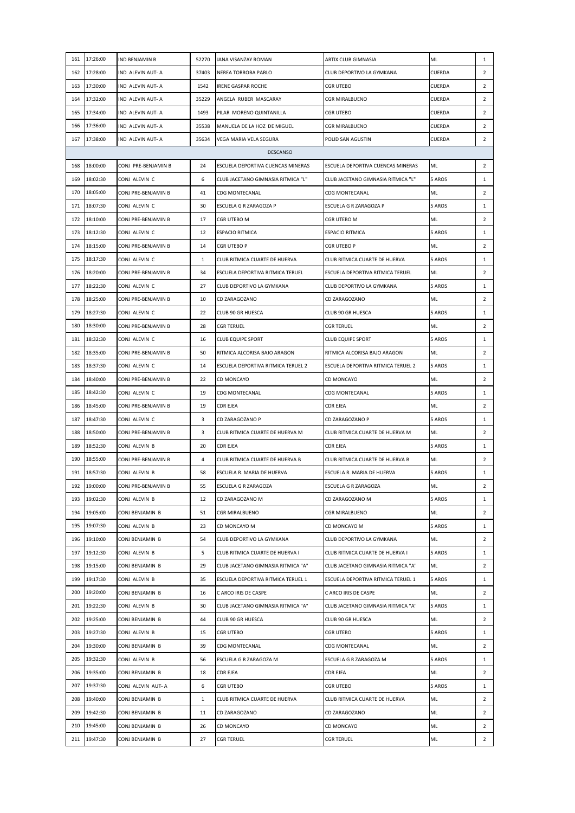| 161 | 17:26:00     | IND BENJAMIN B      | 52270        | JANA VISANZAY ROMAN                | ARTIX CLUB GIMNASIA                | ML            | $\mathbf{1}$   |
|-----|--------------|---------------------|--------------|------------------------------------|------------------------------------|---------------|----------------|
| 162 | 17:28:00     | IND ALEVIN AUT- A   | 37403        | NEREA TORROBA PABLO                | CLUB DEPORTIVO LA GYMKANA          | <b>CUERDA</b> | $\overline{2}$ |
| 163 | 17:30:00     | IND ALEVIN AUT- A   | 1542         | <b>IRENE GASPAR ROCHE</b>          | <b>CGR UTEBO</b>                   | CUERDA        | $\overline{2}$ |
| 164 | 17:32:00     | IND ALEVIN AUT- A   | 35229        | ANGELA RUBER MASCARAY              | <b>CGR MIRALBUENO</b>              | CUERDA        | $\overline{2}$ |
| 165 | 17:34:00     | IND ALEVIN AUT- A   | 1493         | PILAR MORENO QUINTANILLA           | <b>CGR UTEBO</b>                   | CUERDA        | $\overline{2}$ |
| 166 | 17:36:00     | IND ALEVIN AUT- A   | 35538        | MANUELA DE LA HOZ DE MIGUEL        | <b>CGR MIRALBUENO</b>              | CUERDA        | $\overline{2}$ |
|     | 167 17:38:00 | IND ALEVIN AUT- A   | 35634        | VEGA MARIA VELA SEGURA             | POLID SAN AGUSTIN                  | CUERDA        | $\overline{2}$ |
|     |              |                     |              | <b>DESCANSO</b>                    |                                    |               |                |
| 168 | 18:00:00     | CONJ PRE-BENJAMIN B | 24           | ESCUELA DEPORTIVA CUENCAS MINERAS  | ESCUELA DEPORTIVA CUENCAS MINERAS  | ML            | $\overline{2}$ |
| 169 | 18:02:30     | CONJ ALEVIN C       | 6            | CLUB JACETANO GIMNASIA RITMICA "L" | CLUB JACETANO GIMNASIA RITMICA "L" | 5 AROS        | $\mathbf{1}$   |
| 170 | 18:05:00     | CONJ PRE-BENJAMIN B | 41           | <b>CDG MONTECANAL</b>              | CDG MONTECANAL                     | ML            | $\overline{2}$ |
| 171 | 18:07:30     | CONJ ALEVIN C       | 30           | ESCUELA G R ZARAGOZA P             | ESCUELA G R ZARAGOZA P             | 5 AROS        | $\mathbf{1}$   |
|     | 172 18:10:00 | CONJ PRE-BENJAMIN B | 17           | CGR UTEBO M                        | CGR UTEBO M                        | ML            | $\overline{2}$ |
|     | 173 18:12:30 | CONJ ALEVIN C       | 12           | <b>ESPACIO RITMICA</b>             | <b>ESPACIO RITMICA</b>             | 5 AROS        | $\mathbf{1}$   |
|     | 174 18:15:00 | CONJ PRE-BENJAMIN B | 14           | CGR UTEBO P                        | CGR UTEBO P                        | ML            | $\overline{2}$ |
| 175 | 18:17:30     | CONJ ALEVIN C       | $\mathbf{1}$ | CLUB RITMICA CUARTE DE HUERVA      | CLUB RITMICA CUARTE DE HUERVA      | 5 AROS        | $\mathbf{1}$   |
| 176 | 18:20:00     | CONJ PRE-BENJAMIN B | 34           | ESCUELA DEPORTIVA RITMICA TERUEL   | ESCUELA DEPORTIVA RITMICA TERUEL   | ML            | $\overline{2}$ |
| 177 | 18:22:30     | CONJ ALEVIN C       | 27           | CLUB DEPORTIVO LA GYMKANA          | CLUB DEPORTIVO LA GYMKANA          | 5 AROS        | $\mathbf{1}$   |
| 178 | 18:25:00     | CONJ PRE-BENJAMIN B | 10           | CD ZARAGOZANO                      | CD ZARAGOZANO                      | ML            | $\overline{2}$ |
|     | 179 18:27:30 | CONJ ALEVIN C       | 22           | CLUB 90 GR HUESCA                  | <b>CLUB 90 GR HUESCA</b>           | 5 AROS        | $\mathbf{1}$   |
| 180 | 18:30:00     | CONJ PRE-BENJAMIN B | 28           | <b>CGR TERUEL</b>                  | <b>CGR TERUEL</b>                  | ML            | $\overline{2}$ |
| 181 | 18:32:30     | CONJ ALEVIN C       | 16           | <b>CLUB EQUIPE SPORT</b>           | <b>CLUB EQUIPE SPORT</b>           | 5 AROS        | $\mathbf{1}$   |
| 182 | 18:35:00     | CONJ PRE-BENJAMIN B | 50           | RITMICA ALCORISA BAJO ARAGON       | RITMICA ALCORISA BAJO ARAGON       | ML            | $\overline{2}$ |
| 183 | 18:37:30     | CONJ ALEVIN C       | 14           | ESCUELA DEPORTIVA RITMICA TERUEL 2 | ESCUELA DEPORTIVA RITMICA TERUEL 2 | 5 AROS        | $\mathbf{1}$   |
| 184 | 18:40:00     | CONJ PRE-BENJAMIN B | 22           | CD MONCAYO                         | CD MONCAYO                         | <b>ML</b>     | $\overline{2}$ |
| 185 | 18:42:30     | CONJ ALEVIN C       | 19           | CDG MONTECANAL                     | <b>CDG MONTECANAL</b>              | 5 AROS        | $\mathbf{1}$   |
| 186 | 18:45:00     | CONJ PRE-BENJAMIN B | 19           | CDR EJEA                           | <b>CDR EJEA</b>                    | ML            | $\overline{2}$ |
| 187 | 18:47:30     | CONJ ALEVIN C       | 3            | CD ZARAGOZANO P                    | CD ZARAGOZANO P                    | 5 AROS        | $\mathbf{1}$   |
| 188 | 18:50:00     | CONJ PRE-BENJAMIN B | 3            | CLUB RITMICA CUARTE DE HUERVA M    | CLUB RITMICA CUARTE DE HUERVA M    | ML            | $\overline{2}$ |
| 189 | 18:52:30     | CONJ ALEVIN B       | 20           | <b>CDR EJEA</b>                    | <b>CDR EJEA</b>                    | 5 AROS        | $\mathbf{1}$   |
| 190 | 18:55:00     | CONJ PRE-BENJAMIN B | 4            | CLUB RITMICA CUARTE DE HUERVA B    | CLUB RITMICA CUARTE DE HUERVA B    | ML            | $\overline{2}$ |
| 191 | 18:57:30     | CONJ ALEVIN B       | 58           | ESCUELA R. MARIA DE HUERVA         | ESCUELA R. MARIA DE HUERVA         | 5 AROS        | $\mathbf{1}$   |
|     | 192 19:00:00 | CONJ PRE-BENJAMIN B | 55           | ESCUELA G R ZARAGOZA               | ESCUELA G R ZARAGOZA               | ML.           | $\overline{2}$ |
| 193 | 19:02:30     | CONJ ALEVIN B       | 12           | CD ZARAGOZANO M                    | CD ZARAGOZANO M                    | 5 AROS        | $\mathbf{1}$   |
|     | 194 19:05:00 | CONJ BENJAMIN B     | 51           | CGR MIRALBUENO                     | <b>CGR MIRALBUENO</b>              | ML            | $\overline{2}$ |
|     | 195 19:07:30 | CONJ ALEVIN B       | 23           | CD MONCAYO M                       | CD MONCAYO M                       | 5 AROS        | $\mathbf{1}$   |
|     | 196 19:10:00 | CONJ BENJAMIN B     | 54           | CLUB DEPORTIVO LA GYMKANA          | CLUB DEPORTIVO LA GYMKANA          | ML            | $\overline{2}$ |
| 197 | 19:12:30     | CONJ ALEVIN B       | 5            | CLUB RITMICA CUARTE DE HUERVA I    | CLUB RITMICA CUARTE DE HUERVA I    | 5 AROS        | $\mathbf{1}$   |
| 198 | 19:15:00     | CONJ BENJAMIN B     | 29           | CLUB JACETANO GIMNASIA RITMICA "A" | CLUB JACETANO GIMNASIA RITMICA "A" | ML            | $\overline{2}$ |
| 199 | 19:17:30     | CONJ ALEVIN B       | 35           | ESCUELA DEPORTIVA RITMICA TERUEL 1 | ESCUELA DEPORTIVA RITMICA TERUEL 1 | 5 AROS        | $\mathbf{1}$   |
| 200 | 19:20:00     | CONJ BENJAMIN B     | 16           | C ARCO IRIS DE CASPE               | C ARCO IRIS DE CASPE               | ML            | $\overline{2}$ |
| 201 | 19:22:30     | CONJ ALEVIN B       | 30           | CLUB JACETANO GIMNASIA RITMICA "A" | CLUB JACETANO GIMNASIA RITMICA "A" | 5 AROS        | $\mathbf{1}$   |
|     | 202 19:25:00 | CONJ BENJAMIN B     | 44           | CLUB 90 GR HUESCA                  | CLUB 90 GR HUESCA                  | ML            | $\overline{2}$ |
|     | 203 19:27:30 | CONJ ALEVIN B       | 15           | CGR UTEBO                          | CGR UTEBO                          | 5 AROS        | $\mathbf{1}$   |
| 204 | 19:30:00     | CONJ BENJAMIN B     | 39           | CDG MONTECANAL                     | CDG MONTECANAL                     | ML            | $\overline{2}$ |
| 205 | 19:32:30     | CONJ ALEVIN B       | 56           | ESCUELA G R ZARAGOZA M             | ESCUELA G R ZARAGOZA M             | 5 AROS        | $\mathbf{1}$   |
| 206 | 19:35:00     | CONJ BENJAMIN B     | 18           | CDR EJEA                           | CDR EJEA                           | ML            | $\overline{2}$ |
| 207 | 19:37:30     | CONJ ALEVIN AUT- A  | 6            | CGR UTEBO                          | CGR UTEBO                          | 5 AROS        | $\mathbf{1}$   |
| 208 | 19:40:00     | CONJ BENJAMIN B     | $\mathbf{1}$ | CLUB RITMICA CUARTE DE HUERVA      | CLUB RITMICA CUARTE DE HUERVA      | ML            | $\overline{2}$ |
|     | 209 19:42:30 | CONJ BENJAMIN B     | 11           | CD ZARAGOZANO                      | CD ZARAGOZANO                      | ML            | $\overline{2}$ |
| 210 | 19:45:00     | CONJ BENJAMIN B     | 26           | CD MONCAYO                         | CD MONCAYO                         | ML            | $\overline{2}$ |
|     | 211 19:47:30 | CONJ BENJAMIN B     | 27           | <b>CGR TERUEL</b>                  | <b>CGR TERUEL</b>                  | ML            | $\overline{2}$ |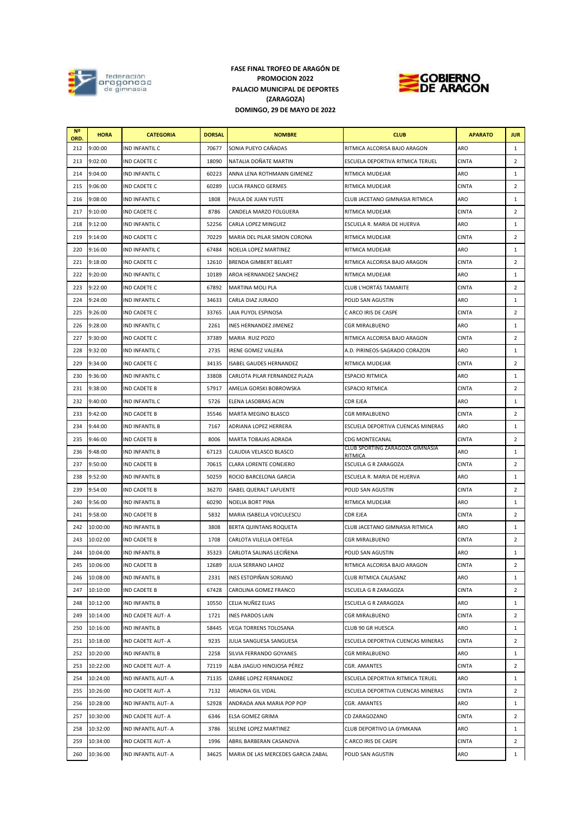

## **PALACIO MUNICIPAL DE DEPORTES (ZARAGOZA) DOMINGO, 29 DE MAYO DE 2022 FASE FINAL TROFEO DE ARAGÓN DE PROMOCION 2022**



| N <sup>o</sup><br>ORD. | <b>HORA</b> | <b>CATEGORIA</b>      | <b>DORSAL</b> | <b>NOMBRE</b>                      | <b>CLUB</b>                                | <b>APARATO</b> | <b>JUR</b>     |
|------------------------|-------------|-----------------------|---------------|------------------------------------|--------------------------------------------|----------------|----------------|
| 212                    | 9:00:00     | IND INFANTIL C        | 70677         | SONIA PUEYO CAÑADAS                | RITMICA ALCORISA BAJO ARAGON               | ARO            | 1              |
| 213                    | 9:02:00     | IND CADETE C          | 18090         | NATALIA DOÑATE MARTIN              | ESCUELA DEPORTIVA RITMICA TERUEL           | <b>CINTA</b>   | $\overline{2}$ |
| 214                    | 9:04:00     | IND INFANTIL C        | 60223         | ANNA LENA ROTHMANN GIMENEZ         | RITMICA MUDEJAR                            | ARO            | $\mathbf{1}$   |
| 215                    | 9:06:00     | IND CADETE C          | 60289         | LUCIA FRANCO GERMES                | RITMICA MUDEJAR                            | <b>CINTA</b>   | $\overline{2}$ |
| 216                    | 9:08:00     | IND INFANTIL C        | 1808          | PAULA DE JUAN YUSTE                | CLUB JACETANO GIMNASIA RITMICA             | ARO            | $\mathbf{1}$   |
| 217                    | 9:10:00     | IND CADETE C          | 8786          | CANDELA MARZO FOLGUERA             | RITMICA MUDEJAR                            | <b>CINTA</b>   | $\overline{2}$ |
| 218                    | 9:12:00     | IND INFANTIL C        | 52256         | CARLA LOPEZ MINGUEZ                | ESCUELA R. MARIA DE HUERVA                 | ARO            | 1              |
| 219                    | 9:14:00     | IND CADETE C          | 70229         | MARIA DEL PILAR SIMON CORONA       | RITMICA MUDEJAR                            | <b>CINTA</b>   | $\overline{2}$ |
| 220                    | 9:16:00     | IND INFANTIL C        | 67484         | NOELIA LOPEZ MARTINEZ              | RITMICA MUDEJAR                            | ARO            | 1              |
| 221                    | 9:18:00     | IND CADETE C          | 12610         | <b>BRENDA GIMBERT BELART</b>       | RITMICA ALCORISA BAJO ARAGON               | <b>CINTA</b>   | $\overline{2}$ |
| 222                    | 9:20:00     | IND INFANTIL C        | 10189         | AROA HERNANDEZ SANCHEZ             | RITMICA MUDEJAR                            | ARO            | 1              |
| 223                    | 9:22:00     | IND CADETE C          | 67892         | MARTINA MOLI PLA                   | CLUB L'HORTÀS TAMARITE                     | <b>CINTA</b>   | $\overline{2}$ |
| 224                    | 9:24:00     | IND INFANTIL C        | 34633         | CARLA DIAZ JURADO                  | POLID SAN AGUSTIN                          | ARO            | 1              |
| 225                    | 9:26:00     | IND CADETE C          | 33765         | LAIA PUYOL ESPINOSA                | C ARCO IRIS DE CASPE                       | <b>CINTA</b>   | $\overline{2}$ |
| 226                    | 9:28:00     | IND INFANTIL C        | 2261          | INES HERNANDEZ JIMENEZ             | CGR MIRALBUENO                             | ARO            | 1              |
| 227                    | 9:30:00     | IND CADETE C          | 37389         | MARIA RUIZ POZO                    | RITMICA ALCORISA BAJO ARAGON               | <b>CINTA</b>   | $\overline{2}$ |
| 228                    | 9:32:00     | IND INFANTIL C        | 2735          | <b>IRENE GOMEZ VALERA</b>          | A.D. PIRINEOS-SAGRADO CORAZON              | ARO            | 1              |
| 229                    | 9:34:00     | IND CADETE C          | 34135         | <b>ISABEL GAUDES HERNANDEZ</b>     | RITMICA MUDEJAR                            | <b>CINTA</b>   | $\overline{2}$ |
| 230                    | 9:36:00     | IND INFANTIL C        | 33808         | CARLOTA PILAR FERNANDEZ PLAZA      | <b>ESPACIO RITMICA</b>                     | ARO            | $\mathbf{1}$   |
| 231                    | 9:38:00     | IND CADETE B          | 57917         | AMELIA GORSKI BOBROWSKA            | <b>ESPACIO RITMICA</b>                     | <b>CINTA</b>   | $\overline{2}$ |
| 232                    | 9:40:00     | IND INFANTIL C        | 5726          | ELENA LASOBRAS ACIN                | CDR EJEA                                   | ARO            | $\mathbf{1}$   |
| 233                    | 9:42:00     | IND CADETE B          | 35546         | MARTA MEGINO BLASCO                | CGR MIRALBUENO                             | <b>CINTA</b>   | $\overline{2}$ |
| 234                    | 9:44:00     | IND INFANTIL B        | 7167          | ADRIANA LOPEZ HERRERA              | ESCUELA DEPORTIVA CUENCAS MINERAS          | ARO            | 1              |
| 235                    | 9:46:00     | <b>IND CADETE B</b>   | 8006          | MARTA TOBAJAS ADRADA               | CDG MONTECANAL                             | <b>CINTA</b>   | $\overline{2}$ |
| 236                    | 9:48:00     | IND INFANTIL B        | 67123         | CLAUDIA VELASCO BLASCO             | CLUB SPORTING ZARAGOZA GIMNASIA<br>RITMICA | ARO            | 1              |
| 237                    | 9:50:00     | IND CADETE B          | 70615         | CLARA LORENTE CONEJERO             | ESCUELA G R ZARAGOZA                       | <b>CINTA</b>   | $\overline{2}$ |
| 238                    | 9:52:00     | <b>IND INFANTIL B</b> | 50259         | ROCIO BARCELONA GARCIA             | ESCUELA R. MARIA DE HUERVA                 | ARO            | 1              |
| 239                    | 9:54:00     | <b>IND CADETE B</b>   | 36270         | <b>ISABEL QUERALT LAFUENTE</b>     | POLID SAN AGUSTIN                          | <b>CINTA</b>   | $\overline{2}$ |
| 240                    | 9:56:00     | IND INFANTIL B        | 60290         | <b>NOELIA BORT PINA</b>            | RITMICA MUDEJAR                            | ARO            | 1              |
| 241                    | 9:58:00     | <b>IND CADETE B</b>   | 5832          | MARIA ISABELLA VOICULESCU          | CDR EJEA                                   | <b>CINTA</b>   | $\overline{2}$ |
| 242                    | 10:00:00    | <b>IND INFANTIL B</b> | 3808          | BERTA QUINTANS ROQUETA             | CLUB JACETANO GIMNASIA RITMICA             | ARO            | 1              |
| 243                    | 10:02:00    | IND CADETE B          | 1708          | CARLOTA VILELLA ORTEGA             | CGR MIRALBUENO                             | <b>CINTA</b>   | $\overline{2}$ |
| 244                    | 10:04:00    | <b>IND INFANTIL B</b> | 35323         | CARLOTA SALINAS LECIÑENA           | POLID SAN AGUSTIN                          | ARO            | $\mathbf{1}$   |
| 245                    | 10:06:00    | <b>IND CADETE B</b>   | 12689         | JULIA SERRANO LAHOZ                | RITMICA ALCORISA BAJO ARAGON               | <b>CINTA</b>   | $\overline{2}$ |
| 246                    | 10:08:00    | IND INFANTIL B        | 2331          | INES ESTOPIÑAN SORIANO             | CLUB RITMICA CALASANZ                      | ARO            | $\mathbf{1}$   |
| 247                    | 10:10:00    | IND CADETE B          | 67428         | CAROLINA GOMEZ FRANCO              | ESCUELA G R ZARAGOZA                       | <b>CINTA</b>   | $\overline{2}$ |
| 248                    | 10:12:00    | IND INFANTIL B        | 10550         | CELIA NUÑEZ ELIAS                  | ESCUELA G R ZARAGOZA                       | ARO            | 1              |
| 249                    | 10:14:00    | IND CADETE AUT- A     | 1721          | <b>INES PARDOS LAIN</b>            | CGR MIRALBUENO                             | <b>CINTA</b>   | $\overline{2}$ |
| 250                    | 10:16:00    | IND INFANTIL B        | 58445         | VEGA TORRENS TOLOSANA              | CLUB 90 GR HUESCA                          | ARO            | 1              |
| 251                    | 10:18:00    | IND CADETE AUT- A     | 9235          | JULIA SANGUESA SANGUESA            | ESCUELA DEPORTIVA CUENCAS MINERAS          | <b>CINTA</b>   | 2              |
| 252                    | 10:20:00    | <b>IND INFANTIL B</b> | 2258          | SILVIA FERRANDO GOYANES            | CGR MIRALBUENO                             | ARO            | $\mathbf{1}$   |
| 253                    | 10:22:00    | IND CADETE AUT- A     | 72119         | ALBA JIAGUO HINOJOSA PÉREZ         | CGR. AMANTES                               | <b>CINTA</b>   | $\overline{2}$ |
| 254                    | 10:24:00    | IND INFANTIL AUT- A   | 71135         | IZARBE LOPEZ FERNANDEZ             | ESCUELA DEPORTIVA RITMICA TERUEL           | ARO            | $\mathbf{1}$   |
| 255                    | 10:26:00    | IND CADETE AUT- A     | 7132          | ARIADNA GIL VIDAL                  | ESCUELA DEPORTIVA CUENCAS MINERAS          | <b>CINTA</b>   | $\overline{2}$ |
| 256                    | 10:28:00    | IND INFANTIL AUT- A   | 52928         | ANDRADA ANA MARIA POP POP          | CGR. AMANTES                               | ARO            | 1              |
| 257                    | 10:30:00    | IND CADETE AUT- A     | 6346          | ELSA GOMEZ GRIMA                   | CD ZARAGOZANO                              | <b>CINTA</b>   | 2              |
| 258                    | 10:32:00    | IND INFANTIL AUT- A   | 3786          | SELENE LOPEZ MARTINEZ              | CLUB DEPORTIVO LA GYMKANA                  | ARO            | $\mathbf{1}$   |
| 259                    | 10:34:00    | IND CADETE AUT- A     | 1996          | ABRIL BARBERAN CASANOVA            | C ARCO IRIS DE CASPE                       | CINTA          | $\overline{2}$ |
| 260                    | 10:36:00    | IND INFANTIL AUT- A   | 34625         | MARIA DE LAS MERCEDES GARCIA ZABAL | POLID SAN AGUSTIN                          | ARO            | $\mathbf{1}$   |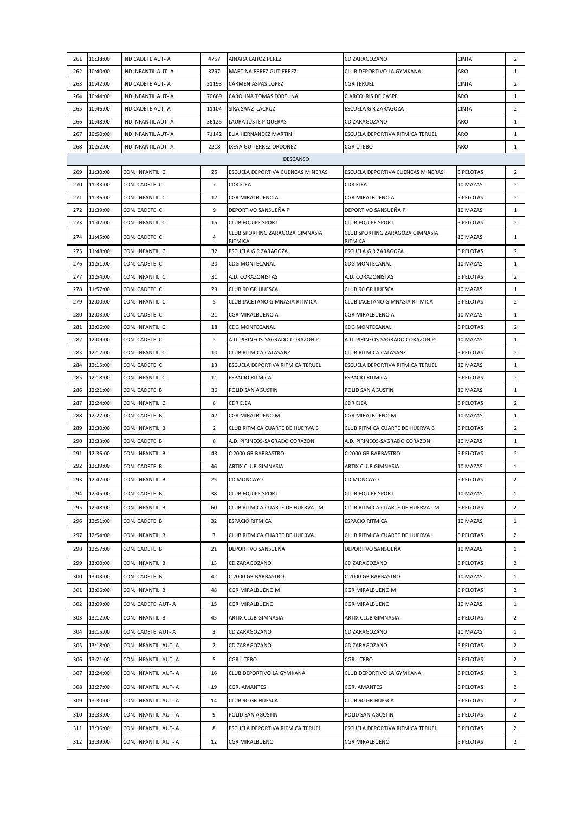| 261        | 10:38:00             | IND CADETE AUT- A                | 4757           | AINARA LAHOZ PEREZ                         | CD ZARAGOZANO                              | <b>CINTA</b>                 | $\overline{2}$ |
|------------|----------------------|----------------------------------|----------------|--------------------------------------------|--------------------------------------------|------------------------------|----------------|
| 262        | 10:40:00             | IND INFANTIL AUT- A              | 3797           | MARTINA PEREZ GUTIERREZ                    | CLUB DEPORTIVO LA GYMKANA                  | ARO                          | $\mathbf{1}$   |
| 263        | 10:42:00             | IND CADETE AUT- A                | 31193          | <b>CARMEN ASPAS LOPEZ</b>                  | <b>CGR TERUEL</b>                          | <b>CINTA</b>                 | $\overline{2}$ |
| 264        | 10:44:00             | IND INFANTIL AUT- A              | 70669          | CAROLINA TOMAS FORTUNA                     | C ARCO IRIS DE CASPE                       | ARO                          | $\mathbf{1}$   |
| 265        | 10:46:00             | IND CADETE AUT- A                | 11104          | SIRA SANZ LACRUZ                           | ESCUELA G R ZARAGOZA                       | <b>CINTA</b>                 | $\overline{2}$ |
| 266        | 10:48:00             | IND INFANTIL AUT- A              | 36125          | LAURA JUSTE PIQUERAS                       | CD ZARAGOZANO                              | ARO                          | $\mathbf{1}$   |
| 267        | 10:50:00             | IND INFANTIL AUT- A              | 71142          | ELIA HERNANDEZ MARTIN                      | ESCUELA DEPORTIVA RITMICA TERUEL           | ARO                          | $\mathbf{1}$   |
| 268        | 10:52:00             | IND INFANTIL AUT- A              | 2218           | IXEYA GUTIERREZ ORDOÑEZ                    | CGR UTEBO                                  | ARO                          | $\mathbf{1}$   |
|            |                      |                                  |                | <b>DESCANSO</b>                            |                                            |                              |                |
| 269        | 11:30:00             | CONJ INFANTIL C                  | 25             | ESCUELA DEPORTIVA CUENCAS MINERAS          | ESCUELA DEPORTIVA CUENCAS MINERAS          | 5 PELOTAS                    | $\overline{2}$ |
| 270        | 11:33:00             | CONJ CADETE C                    | $\overline{7}$ | <b>CDR EJEA</b>                            | CDR EJEA                                   | 10 MAZAS                     | $\overline{2}$ |
| 271        | 11:36:00             | CONJ INFANTIL C                  | 17             | CGR MIRALBUENO A                           | CGR MIRALBUENO A                           | 5 PELOTAS                    | $\overline{2}$ |
| 272        | 11:39:00             | CONJ CADETE C                    | 9              | DEPORTIVO SANSUEÑA P                       | DEPORTIVO SANSUEÑA P                       | 10 MAZAS                     | $\mathbf{1}$   |
| 273        | 11:42:00             | CONJ INFANTIL C                  | 15             | <b>CLUB EQUIPE SPORT</b>                   | <b>CLUB EQUIPE SPORT</b>                   | 5 PELOTAS                    | $\overline{2}$ |
| 274        | 11:45:00             | CONJ CADETE C                    | 4              | CLUB SPORTING ZARAGOZA GIMNASIA<br>RITMICA | CLUB SPORTING ZARAGOZA GIMNASIA<br>RITMICA | 10 MAZAS                     | 1              |
| 275        | 11:48:00             | CONJ INFANTIL C                  | 32             | ESCUELA G R ZARAGOZA                       | ESCUELA G R ZARAGOZA                       | <b>5 PELOTAS</b>             | $\overline{2}$ |
| 276        | 11:51:00             | CONJ CADETE C                    | 20             | CDG MONTECANAL                             | CDG MONTECANAL                             | 10 MAZAS                     | $\mathbf{1}$   |
| 277        | 11:54:00             | CONJ INFANTIL C                  | 31             | A.D. CORAZONISTAS                          | A.D. CORAZONISTAS                          | 5 PELOTAS                    | $\overline{2}$ |
| 278        | 11:57:00             | CONJ CADETE C                    | 23             | CLUB 90 GR HUESCA                          | CLUB 90 GR HUESCA                          | 10 MAZAS                     | $\mathbf{1}$   |
| 279        | 12:00:00             | CONJ INFANTIL C                  | 5              | CLUB JACETANO GIMNASIA RITMICA             | CLUB JACETANO GIMNASIA RITMICA             | 5 PELOTAS                    | $\overline{2}$ |
| 280        | 12:03:00             | CONJ CADETE C                    | 21             | CGR MIRALBUENO A                           | CGR MIRALBUENO A                           | 10 MAZAS                     | $\mathbf{1}$   |
| 281        | 12:06:00             | CONJ INFANTIL C                  | 18             | CDG MONTECANAL                             | CDG MONTECANAL                             | 5 PELOTAS                    | $\overline{2}$ |
| 282        | 12:09:00             | CONJ CADETE C                    | 2              | A.D. PIRINEOS-SAGRADO CORAZON P            | A.D. PIRINEOS-SAGRADO CORAZON P            | 10 MAZAS                     | 1              |
| 283        | 12:12:00             | CONJ INFANTIL C                  | 10             | CLUB RITMICA CALASANZ                      | CLUB RITMICA CALASANZ                      | 5 PELOTAS                    | $\overline{2}$ |
| 284        | 12:15:00             | CONJ CADETE C                    | 13             | ESCUELA DEPORTIVA RITMICA TERUEL           | ESCUELA DEPORTIVA RITMICA TERUEL           | 10 MAZAS                     | $\mathbf{1}$   |
| 285        | 12:18:00             | CONJ INFANTIL C                  | 11             | <b>ESPACIO RITMICA</b>                     | <b>ESPACIO RITMICA</b>                     | 5 PELOTAS                    | $\overline{2}$ |
| 286        | 12:21:00             | CONJ CADETE B                    | 36             | POLID SAN AGUSTIN                          | POLID SAN AGUSTIN                          | 10 MAZAS                     | $\mathbf{1}$   |
| 287        | 12:24:00             | CONJ INFANTIL C                  | 8              | CDR EJEA                                   | CDR EJEA                                   | 5 PELOTAS                    | $\overline{2}$ |
| 288        | 12:27:00             | CONJ CADETE B                    | 47             | CGR MIRALBUENO M                           | CGR MIRALBUENO M                           | 10 MAZAS                     | $\mathbf{1}$   |
| 289        | 12:30:00             | CONJ INFANTIL B                  | $\overline{2}$ | CLUB RITMICA CUARTE DE HUERVA B            | CLUB RITMICA CUARTE DE HUERVA B            | <b>5 PELOTAS</b>             | $\overline{2}$ |
| 290        | 12:33:00             | CONJ CADETE B                    | 8              | A.D. PIRINEOS-SAGRADO CORAZON              | A.D. PIRINEOS-SAGRADO CORAZON              | 10 MAZAS                     | $\mathbf{1}$   |
| 291        | 12:36:00             | CONJ INFANTIL B                  | 43             | C 2000 GR BARBASTRO                        | C 2000 GR BARBASTRO                        | <b>5 PELOTAS</b><br>10 MAZAS | $\overline{2}$ |
| 292<br>293 | 12:39:00<br>12:42:00 | CONJ CADETE B<br>CONJ INFANTIL B | 46             | ARTIX CLUB GIMNASIA<br>CD MONCAYO          | ARTIX CLUB GIMNASIA<br>CD MONCAYO          | <b>5 PELOTAS</b>             | $\mathbf{1}$   |
|            |                      |                                  | 25             |                                            |                                            |                              | $\overline{2}$ |
| 294        | 12:45:00             | CONJ CADETE B                    | 38             | <b>CLUB EQUIPE SPORT</b>                   | <b>CLUB EQUIPE SPORT</b>                   | 10 MAZAS                     | $\mathbf{1}$   |
| 295        | 12:48:00             | CONJ INFANTIL B                  | 60             | CLUB RITMICA CUARTE DE HUERVA I M          | CLUB RITMICA CUARTE DE HUERVA I M          | <b>5 PELOTAS</b>             | $\overline{2}$ |
| 296        | 12:51:00             | CONJ CADETE B                    | 32             | <b>ESPACIO RITMICA</b>                     | <b>ESPACIO RITMICA</b>                     | 10 MAZAS                     | $\mathbf{1}$   |
| 297        | 12:54:00             | CONJ INFANTIL B                  | 7              | CLUB RITMICA CUARTE DE HUERVA I            | CLUB RITMICA CUARTE DE HUERVA I            | 5 PELOTAS                    | $\overline{2}$ |
| 298        | 12:57:00             | CONJ CADETE B                    | 21             | DEPORTIVO SANSUEÑA                         | DEPORTIVO SANSUEÑA                         | 10 MAZAS                     | $\mathbf{1}$   |
| 299        | 13:00:00             | CONJ INFANTIL B                  | 13             | CD ZARAGOZANO                              | CD ZARAGOZANO                              | 5 PELOTAS                    | $\overline{2}$ |
| 300        | 13:03:00             | CONJ CADETE B                    | 42             | C 2000 GR BARBASTRO                        | C 2000 GR BARBASTRO                        | 10 MAZAS                     | $\mathbf{1}$   |
| 301        | 13:06:00             | CONJ INFANTIL B                  | 48             | CGR MIRALBUENO M                           | CGR MIRALBUENO M                           | 5 PELOTAS                    | $\overline{2}$ |
| 302        | 13:09:00             | CONJ CADETE AUT- A               | 15             | CGR MIRALBUENO                             | CGR MIRALBUENO                             | 10 MAZAS                     | $\mathbf{1}$   |
| 303        | 13:12:00             | CONJ INFANTIL B                  | 45             | ARTIX CLUB GIMNASIA                        | ARTIX CLUB GIMNASIA                        | <b>5 PELOTAS</b>             | $\overline{2}$ |
| 304        | 13:15:00             | CONJ CADETE AUT-A                | 3              | CD ZARAGOZANO                              | CD ZARAGOZANO                              | 10 MAZAS                     | $\mathbf{1}$   |
| 305        | 13:18:00             | CONJ INFANTIL AUT-A              | $\overline{2}$ | CD ZARAGOZANO                              | CD ZARAGOZANO                              | 5 PELOTAS                    | $\overline{2}$ |
| 306        | 13:21:00             | CONJ INFANTIL AUT- A             | 5              | <b>CGR UTEBO</b>                           | CGR UTEBO                                  | 5 PELOTAS                    | $\overline{2}$ |
| 307        | 13:24:00             | CONJ INFANTIL AUT- A             | 16             | CLUB DEPORTIVO LA GYMKANA                  | CLUB DEPORTIVO LA GYMKANA                  | <b>5 PELOTAS</b>             | $\overline{2}$ |
| 308        | 13:27:00             | CONJ INFANTIL AUT- A             | 19             | CGR. AMANTES                               | CGR. AMANTES                               | 5 PELOTAS                    | $\overline{2}$ |
| 309        | 13:30:00             | CONJ INFANTIL AUT-A              | 14             | CLUB 90 GR HUESCA                          | CLUB 90 GR HUESCA                          | 5 PELOTAS                    | $\overline{2}$ |
| 310        | 13:33:00             | CONJ INFANTIL AUT- A             | 9              | POLID SAN AGUSTIN                          | POLID SAN AGUSTIN                          | 5 PELOTAS                    | $\overline{2}$ |
| 311        | 13:36:00             | CONJ INFANTIL AUT- A             | 8              | ESCUELA DEPORTIVA RITMICA TERUEL           | ESCUELA DEPORTIVA RITMICA TERUEL           | 5 PELOTAS                    | $\overline{2}$ |
| 312        | 13:39:00             | CONJ INFANTIL AUT-A              | 12             | CGR MIRALBUENO                             | CGR MIRALBUENO                             | <b>5 PELOTAS</b>             | $\overline{2}$ |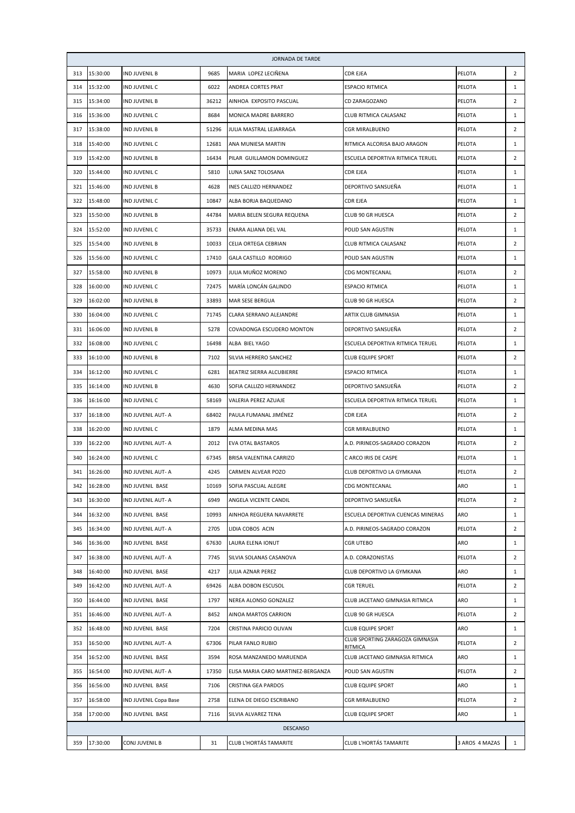|     |          |                       |       | JORNADA DE TARDE                   |                                                             |                |                |
|-----|----------|-----------------------|-------|------------------------------------|-------------------------------------------------------------|----------------|----------------|
| 313 | 15:30:00 | IND JUVENIL B         | 9685  | MARIA LOPEZ LECIÑENA               | CDR EJEA                                                    | PELOTA         | $\overline{2}$ |
| 314 | 15:32:00 | IND JUVENIL C         | 6022  | ANDREA CORTES PRAT                 | <b>ESPACIO RITMICA</b>                                      | PELOTA         | 1              |
| 315 | 15:34:00 | <b>IND JUVENIL B</b>  | 36212 | AINHOA EXPOSITO PASCUAL            | CD ZARAGOZANO                                               | PELOTA         | 2              |
| 316 | 15:36:00 | IND JUVENIL C         | 8684  | MONICA MADRE BARRERO               | CLUB RITMICA CALASANZ                                       | PELOTA         | 1              |
| 317 | 15:38:00 | IND JUVENIL B         | 51296 | JULIA MASTRAL LEJARRAGA            | CGR MIRALBUENO                                              | PELOTA         | 2              |
| 318 | 15:40:00 | IND JUVENIL C         | 12681 | ANA MUNIESA MARTIN                 | RITMICA ALCORISA BAJO ARAGON                                | PELOTA         | 1              |
| 319 | 15:42:00 | IND JUVENIL B         | 16434 | PILAR GUILLAMON DOMINGUEZ          | ESCUELA DEPORTIVA RITMICA TERUEL                            | PELOTA         | $\overline{2}$ |
| 320 | 15:44:00 | IND JUVENIL C         | 5810  | LUNA SANZ TOLOSANA                 | CDR EJEA                                                    | PELOTA         | $\mathbf{1}$   |
| 321 | 15:46:00 | <b>IND JUVENIL B</b>  | 4628  | INES CALLIZO HERNANDEZ             | DEPORTIVO SANSUEÑA                                          | PELOTA         | $\mathbf{1}$   |
| 322 | 15:48:00 | IND JUVENIL C         | 10847 | ALBA BORJA BAQUEDANO               | CDR EJEA                                                    | PELOTA         | $\mathbf{1}$   |
| 323 | 15:50:00 | IND JUVENIL B         | 44784 | MARIA BELEN SEGURA REQUENA         | CLUB 90 GR HUESCA                                           | PELOTA         | $\overline{2}$ |
| 324 | 15:52:00 | IND JUVENIL C         | 35733 | ENARA ALIANA DEL VAL               | POLID SAN AGUSTIN                                           | PELOTA         | $\mathbf{1}$   |
| 325 | 15:54:00 | <b>IND JUVENIL B</b>  | 10033 | CELIA ORTEGA CEBRIAN               | CLUB RITMICA CALASANZ                                       | PELOTA         | $\overline{2}$ |
| 326 | 15:56:00 | IND JUVENIL C         | 17410 | GALA CASTILLO RODRIGO              | POLID SAN AGUSTIN                                           | PELOTA         | $\mathbf{1}$   |
| 327 | 15:58:00 | IND JUVENIL B         | 10973 | JULIA MUÑOZ MORENO                 | CDG MONTECANAL                                              | PELOTA         | $\overline{2}$ |
| 328 | 16:00:00 | IND JUVENIL C         | 72475 | MARÍA LONCÁN GALINDO               | <b>ESPACIO RITMICA</b>                                      | PELOTA         | 1              |
| 329 | 16:02:00 | IND JUVENIL B         | 33893 | MAR SESE BERGUA                    | CLUB 90 GR HUESCA                                           | PELOTA         | $\overline{2}$ |
| 330 | 16:04:00 | IND JUVENIL C         | 71745 | CLARA SERRANO ALEJANDRE            | ARTIX CLUB GIMNASIA                                         | PELOTA         | $\mathbf{1}$   |
| 331 | 16:06:00 | IND JUVENIL B         | 5278  | COVADONGA ESCUDERO MONTON          | DEPORTIVO SANSUEÑA                                          | PELOTA         | $\overline{2}$ |
| 332 | 16:08:00 | IND JUVENIL C         | 16498 | ALBA BIEL YAGO                     | ESCUELA DEPORTIVA RITMICA TERUEL                            | PELOTA         | $\mathbf{1}$   |
| 333 | 16:10:00 | <b>IND JUVENIL B</b>  | 7102  | SILVIA HERRERO SANCHEZ             | <b>CLUB EQUIPE SPORT</b>                                    | PELOTA         | $\overline{2}$ |
| 334 | 16:12:00 | IND JUVENIL C         | 6281  | BEATRIZ SIERRA ALCUBIERRE          | <b>ESPACIO RITMICA</b>                                      | PELOTA         | $\mathbf{1}$   |
| 335 | 16:14:00 | IND JUVENIL B         | 4630  | SOFIA CALLIZO HERNANDEZ            | DEPORTIVO SANSUEÑA                                          | PELOTA         | $\overline{2}$ |
| 336 | 16:16:00 | IND JUVENIL C         | 58169 | VALERIA PEREZ AZUAJE               | ESCUELA DEPORTIVA RITMICA TERUEL                            | PELOTA         | $\mathbf{1}$   |
| 337 | 16:18:00 | IND JUVENIL AUT- A    | 68402 | PAULA FUMANAL JIMÉNEZ              | CDR EJEA                                                    | PELOTA         | $\overline{2}$ |
| 338 | 16:20:00 | IND JUVENIL C         | 1879  | ALMA MEDINA MAS                    | CGR MIRALBUENO                                              | PELOTA         | 1              |
| 339 | 16:22:00 | IND JUVENIL AUT- A    | 2012  | EVA OTAL BASTAROS                  | A.D. PIRINEOS-SAGRADO CORAZON                               | PELOTA         | $\overline{2}$ |
| 340 | 16:24:00 | IND JUVENIL C         | 67345 | BRISA VALENTINA CARRIZO            | C ARCO IRIS DE CASPE                                        | PELOTA         | 1              |
| 341 | 16:26:00 | IND JUVENIL AUT- A    | 4245  | CARMEN ALVEAR POZO                 | CLUB DEPORTIVO LA GYMKANA                                   | PELOTA         | $\overline{2}$ |
| 342 | 16:28:00 | IND JUVENIL BASE      | 10169 | SOFIA PASCUAL ALEGRE               | CDG MONTECANAL                                              | ARO            | $\,1$          |
| 343 | 16:30:00 | IND JUVENIL AUT- A    | 6949  | ANGELA VICENTE CANDIL              | DEPORTIVO SANSUEÑA                                          | PELOTA         | $\overline{2}$ |
| 344 | 16:32:00 | IND JUVENIL BASE      | 10993 | AINHOA REGUERA NAVARRETE           | ESCUELA DEPORTIVA CUENCAS MINERAS                           | ARO            | 1              |
| 345 | 16:34:00 | IND JUVENIL AUT- A    | 2705  | LIDIA COBOS ACIN                   | A.D. PIRINEOS-SAGRADO CORAZON                               | PELOTA         | $\overline{2}$ |
| 346 | 16:36:00 | IND JUVENIL BASE      | 67630 | LAURA ELENA IONUT                  | CGR UTEBO                                                   | ARO            | 1              |
| 347 | 16:38:00 | IND JUVENIL AUT- A    | 7745  | SILVIA SOLANAS CASANOVA            | A.D. CORAZONISTAS                                           | PELOTA         | $\overline{2}$ |
| 348 | 16:40:00 | IND JUVENIL BASE      | 4217  | JULIA AZNAR PEREZ                  | CLUB DEPORTIVO LA GYMKANA                                   | ARO            | $\mathbf{1}$   |
| 349 | 16:42:00 | IND JUVENIL AUT- A    | 69426 | ALBA DOBON ESCUSOL                 | CGR TERUEL                                                  | PELOTA         | 2              |
| 350 | 16:44:00 | IND JUVENIL BASE      | 1797  | NEREA ALONSO GONZALEZ              | CLUB JACETANO GIMNASIA RITMICA                              | ARO            | 1              |
| 351 | 16:46:00 | IND JUVENIL AUT- A    | 8452  | AINOA MARTOS CARRION               | CLUB 90 GR HUESCA                                           | PELOTA         | $\overline{2}$ |
| 352 | 16:48:00 | IND JUVENIL BASE      | 7204  | CRISTINA PARICIO OLIVAN            | <b>CLUB EQUIPE SPORT</b><br>CLUB SPORTING ZARAGOZA GIMNASIA | ARO            | $\mathbf{1}$   |
| 353 | 16:50:00 | IND JUVENIL AUT- A    | 67306 | PILAR FANLO RUBIO                  | RITMICA                                                     | PELOTA         | $\overline{2}$ |
| 354 | 16:52:00 | IND JUVENIL BASE      | 3594  | ROSA MANZANEDO MARUENDA            | CLUB JACETANO GIMNASIA RITMICA                              | ARO            | $\mathbf{1}$   |
| 355 | 16:54:00 | IND JUVENIL AUT- A    | 17350 | ELISA MARIA CARO MARTINEZ-BERGANZA | POLID SAN AGUSTIN                                           | PELOTA         | $\overline{2}$ |
| 356 | 16:56:00 | IND JUVENIL BASE      | 7106  | CRISTINA GEA PARDOS                | <b>CLUB EQUIPE SPORT</b>                                    | ARO            | 1              |
| 357 | 16:58:00 | IND JUVENIL Copa Base | 2758  | ELENA DE DIEGO ESCRIBANO           | CGR MIRALBUENO                                              | PELOTA         | $\overline{2}$ |
| 358 | 17:00:00 | IND JUVENIL BASE      | 7116  | SILVIA ALVAREZ TENA                | <b>CLUB EQUIPE SPORT</b>                                    | ARO            | $\mathbf{1}$   |
|     |          |                       |       | <b>DESCANSO</b>                    |                                                             |                |                |
| 359 | 17:30:00 | CONJ JUVENIL B        | 31    | CLUB L'HORTÁS TAMARITE             | CLUB L'HORTÁS TAMARITE                                      | 3 AROS 4 MAZAS | $\mathbf{1}$   |